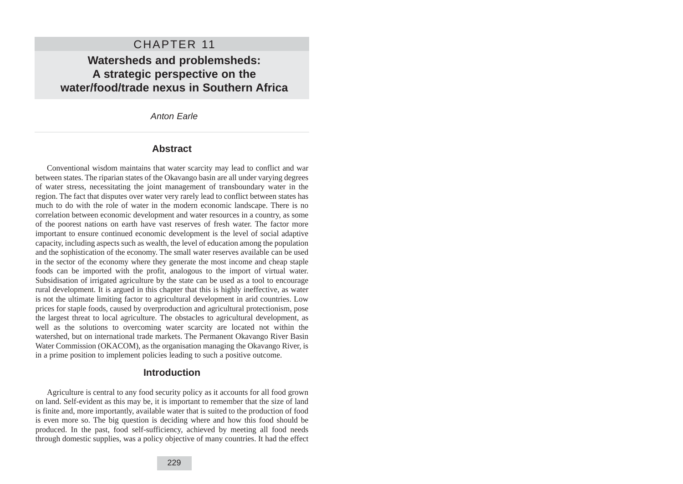# CHAPTER 11

# **Watersheds and problemsheds: A strategic perspective on the water/food/trade nexus in Southern Africa**

### Anton Earle

### **Abstract**

Conventional wisdom maintains that water scarcity may lead to conflict and war between states. The riparian states of the Okavango basin are all under varying degrees of water stress, necessitating the joint management of transboundary water in the region. The fact that disputes over water very rarely lead to conflict between states has much to do with the role of water in the modern economic landscape. There is no correlation between economic development and water resources in a country, as some of the poorest nations on earth have vast reserves of fresh water. The factor more important to ensure continued economic development is the level of social adaptive capacity, including aspects such as wealth, the level of education among the population and the sophistication of the economy. The small water reserves available can be used in the sector of the economy where they generate the most income and cheap staple foods can be imported with the profit, analogous to the import of virtual water. Subsidisation of irrigated agriculture by the state can be used as a tool to encourage rural development. It is argued in this chapter that this is highly ineffective, as water is not the ultimate limiting factor to agricultural development in arid countries. Low prices for staple foods, caused by overproduction and agricultural protectionism, pose the largest threat to local agriculture. The obstacles to agricultural development, as well as the solutions to overcoming water scarcity are located not within the watershed, but on international trade markets. The Permanent Okavango River Basin Water Commission (OKACOM), as the organisation managing the Okavango River, is in a prime position to implement policies leading to such a positive outcome.

## **Introduction**

Agriculture is central to any food security policy as it accounts for all food grown on land. Self-evident as this may be, it is important to remember that the size of land is finite and, more importantly, available water that is suited to the production of food is even more so. The big question is deciding where and how this food should be produced. In the past, food self-sufficiency, achieved by meeting all food needs through domestic supplies, was a policy objective of many countries. It had the effect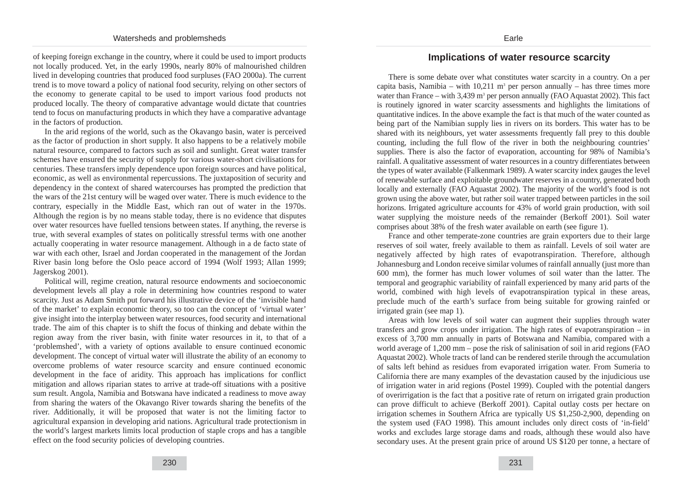of keeping foreign exchange in the country, where it could be used to import products not locally produced. Yet, in the early 1990s, nearly 80% of malnourished children lived in developing countries that produced food surpluses (FAO 2000a). The current trend is to move toward a policy of national food security, relying on other sectors of the economy to generate capital to be used to import various food products not produced locally. The theory of comparative advantage would dictate that countries tend to focus on manufacturing products in which they have a comparative advantage in the factors of production.

In the arid regions of the world, such as the Okavango basin, water is perceived as the factor of production in short supply. It also happens to be a relatively mobile natural resource, compared to factors such as soil and sunlight. Great water transfer schemes have ensured the security of supply for various water-short civilisations for centuries. These transfers imply dependence upon foreign sources and have political, economic, as well as environmental repercussions. The juxtaposition of security and dependency in the context of shared watercourses has prompted the prediction that the wars of the 21st century will be waged over water. There is much evidence to the contrary, especially in the Middle East, which ran out of water in the 1970s. Although the region is by no means stable today, there is no evidence that disputes over water resources have fuelled tensions between states. If anything, the reverse is true, with several examples of states on politically stressful terms with one another actually cooperating in water resource management. Although in a de facto state of war with each other, Israel and Jordan cooperated in the management of the Jordan River basin long before the Oslo peace accord of 1994 (Wolf 1993; Allan 1999; Jagerskog 2001).

Political will, regime creation, natural resource endowments and socioeconomic development levels all play a role in determining how countries respond to water scarcity. Just as Adam Smith put forward his illustrative device of the 'invisible hand of the market' to explain economic theory, so too can the concept of 'virtual water' give insight into the interplay between water resources, food security and international trade. The aim of this chapter is to shift the focus of thinking and debate within the region away from the river basin, with finite water resources in it, to that of a 'problemshed', with a variety of options available to ensure continued economic development. The concept of virtual water will illustrate the ability of an economy to overcome problems of water resource scarcity and ensure continued economic development in the face of aridity. This approach has implications for conflict mitigation and allows riparian states to arrive at trade-off situations with a positive sum result. Angola, Namibia and Botswana have indicated a readiness to move away from sharing the waters of the Okavango River towards sharing the benefits of the river. Additionally, it will be proposed that water is not the limiting factor to agricultural expansion in developing arid nations. Agricultural trade protectionism in the world's largest markets limits local production of staple crops and has a tangible effect on the food security policies of developing countries.

## **Implications of water resource scarcity**

There is some debate over what constitutes water scarcity in a country. On a per capita basis, Namibia – with 10,211 m<sup>3</sup> per person annually – has three times more water than France – with  $3.439$  m<sup>3</sup> per person annually (FAO Aquastat 2002). This fact is routinely ignored in water scarcity assessments and highlights the limitations of quantitative indices. In the above example the fact is that much of the water counted as being part of the Namibian supply lies in rivers on its borders. This water has to be shared with its neighbours, yet water assessments frequently fall prey to this double counting, including the full flow of the river in both the neighbouring countries' supplies. There is also the factor of evaporation, accounting for 98% of Namibia's rainfall. A qualitative assessment of water resources in a country differentiates between the types of water available (Falkenmark 1989). A water scarcity index gauges the level of renewable surface and exploitable groundwater reserves in a country, generated both locally and externally (FAO Aquastat 2002). The majority of the world's food is not grown using the above water, but rather soil water trapped between particles in the soil horizons. Irrigated agriculture accounts for 43% of world grain production, with soil water supplying the moisture needs of the remainder (Berkoff 2001). Soil water comprises about 38% of the fresh water available on earth (see figure 1).

France and other temperate-zone countries are grain exporters due to their large reserves of soil water, freely available to them as rainfall. Levels of soil water are negatively affected by high rates of evapotranspiration. Therefore, although Johannesburg and London receive similar volumes of rainfall annually (just more than 600 mm), the former has much lower volumes of soil water than the latter. The temporal and geographic variability of rainfall experienced by many arid parts of the world, combined with high levels of evapotranspiration typical in these areas, preclude much of the earth's surface from being suitable for growing rainfed or irrigated grain (see map 1).

Areas with low levels of soil water can augment their supplies through water transfers and grow crops under irrigation. The high rates of evapotranspiration – in excess of 3,700 mm annually in parts of Botswana and Namibia, compared with a world average of 1,200 mm – pose the risk of salinisation of soil in arid regions (FAO Aquastat 2002). Whole tracts of land can be rendered sterile through the accumulation of salts left behind as residues from evaporated irrigation water. From Sumeria to California there are many examples of the devastation caused by the injudicious use of irrigation water in arid regions (Postel 1999). Coupled with the potential dangers of overirrigation is the fact that a positive rate of return on irrigated grain production can prove difficult to achieve (Berkoff 2001). Capital outlay costs per hectare on irrigation schemes in Southern Africa are typically US \$1,250-2,900, depending on the system used (FAO 1998). This amount includes only direct costs of 'in-field' works and excludes large storage dams and roads, although these would also have secondary uses. At the present grain price of around US \$120 per tonne, a hectare of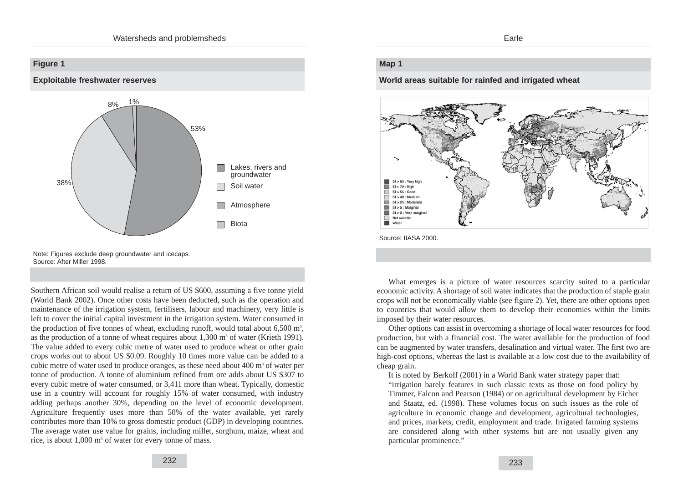

Note: Figures exclude deep groundwater and icecaps. Source: After Miller 1998.

Southern African soil would realise a return of US \$600, assuming a five tonne yield (World Bank 2002). Once other costs have been deducted, such as the operation and maintenance of the irrigation system, fertilisers, labour and machinery, very little is left to cover the initial capital investment in the irrigation system. Water consumed in the production of five tonnes of wheat, excluding runoff, would total about  $6,500 \text{ m}^3$ , as the production of a tonne of wheat requires about  $1,300$  m<sup>3</sup> of water (Krieth 1991). The value added to every cubic metre of water used to produce wheat or other grain crops works out to about US \$0.09. Roughly 10 times more value can be added to a cubic metre of water used to produce oranges, as these need about  $400 \text{ m}^3$  of water per tonne of production. A tonne of aluminium refined from ore adds about US \$307 to every cubic metre of water consumed, or 3,411 more than wheat. Typically, domestic use in a country will account for roughly 15% of water consumed, with industry adding perhaps another 30%, depending on the level of economic development. Agriculture frequently uses more than 50% of the water available, yet rarely contributes more than 10% to gross domestic product (GDP) in developing countries. The average water use value for grains, including millet, sorghum, maize, wheat and rice, is about 1,000 m<sup>3</sup> of water for every tonne of mass.

#### Earle

## **Map 1**

#### **World areas suitable for rainfed and irrigated wheat**



Source: IIASA 2000.

What emerges is a picture of water resources scarcity suited to a particular economic activity. A shortage of soil water indicates that the production of staple grain crops will not be economically viable (see figure 2). Yet, there are other options open to countries that would allow them to develop their economies within the limits imposed by their water resources.

Other options can assist in overcoming a shortage of local water resources for food production, but with a financial cost. The water available for the production of food can be augmented by water transfers, desalination and virtual water. The first two are high-cost options, whereas the last is available at a low cost due to the availability of cheap grain.

It is noted by Berkoff (2001) in a World Bank water strategy paper that:

"irrigation barely features in such classic texts as those on food policy by Timmer, Falcon and Pearson (1984) or on agricultural development by Eicher and Staatz, ed. (1998). These volumes focus on such issues as the role of agriculture in economic change and development, agricultural technologies, and prices, markets, credit, employment and trade. Irrigated farming systems are considered along with other systems but are not usually given any particular prominence."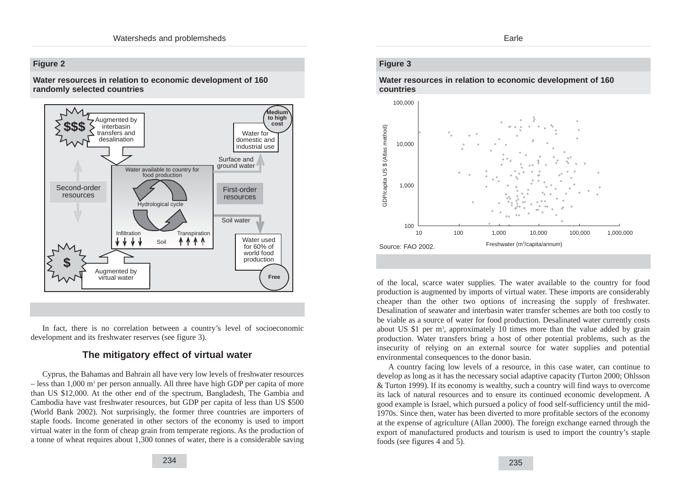## **Figure 2**

**Water resources in relation to economic development of 160 randomly selected countries**



In fact, there is no correlation between a country's level of socioeconomic development and its freshwater reserves (see figure 3).

## **The mitigatory effect of virtual water**

Cyprus, the Bahamas and Bahrain all have very low levels of freshwater resources  $-$  less than 1,000 m<sup>3</sup> per person annually. All three have high GDP per capita of more than US \$12,000. At the other end of the spectrum, Bangladesh, The Gambia and Cambodia have vast freshwater resources, but GDP per capita of less than US \$500 (World Bank 2002). Not surprisingly, the former three countries are importers of staple foods. Income generated in other sectors of the economy is used to import virtual water in the form of cheap grain from temperate regions. As the production of a tonne of wheat requires about 1,300 tonnes of water, there is a considerable saving

## **Figure 3**

**Water resources in relation to economic development of 160 countries**



of the local, scarce water supplies. The water available to the country for food production is augmented by imports of virtual water. These imports are considerably cheaper than the other two options of increasing the supply of freshwater. Desalination of seawater and interbasin water transfer schemes are both too costly to be viable as a source of water for food production. Desalinated water currently costs about US \$1 per m<sup>3</sup>, approximately 10 times more than the value added by grain production. Water transfers bring a host of other potential problems, such as the insecurity of relying on an external source for water supplies and potential environmental consequences to the donor basin.

A country facing low levels of a resource, in this case water, can continue to develop as long as it has the necessary social adaptive capacity (Turton 2000; Ohlsson & Turton 1999). If its economy is wealthy, such a country will find ways to overcome its lack of natural resources and to ensure its continued economic development. A good example is Israel, which pursued a policy of food self-sufficiency until the mid-1970s. Since then, water has been diverted to more profitable sectors of the economy at the expense of agriculture (Allan 2000). The foreign exchange earned through the export of manufactured products and tourism is used to import the country's staple foods (see figures 4 and 5).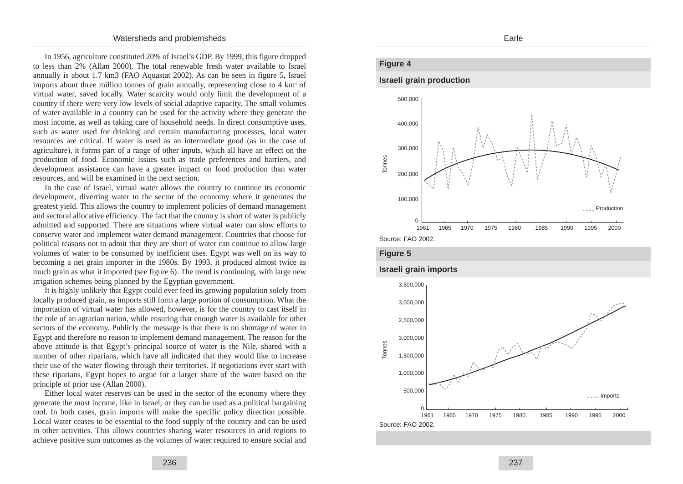In 1956, agriculture constituted 20% of Israel's GDP. By 1999, this figure dropped to less than 2% (Allan 2000). The total renewable fresh water available to Israel annually is about 1.7 km3 (FAO Aquastat 2002). As can be seen in figure 5, Israel imports about three million tonnes of grain annually, representing close to  $4 \text{ km}^3$  of virtual water, saved locally. Water scarcity would only limit the development of a country if there were very low levels of social adaptive capacity. The small volumes of water available in a country can be used for the activity where they generate the most income, as well as taking care of household needs. In direct consumptive uses, such as water used for drinking and certain manufacturing processes, local water resources are critical. If water is used as an intermediate good (as in the case of agriculture), it forms part of a range of other inputs, which all have an effect on the production of food. Economic issues such as trade preferences and barriers, and development assistance can have a greater impact on food production than water resources, and will be examined in the next section.

In the case of Israel, virtual water allows the country to continue its economic development, diverting water to the sector of the economy where it generates the greatest yield. This allows the country to implement policies of demand management and sectoral allocative efficiency. The fact that the country is short of water is publicly admitted and supported. There are situations where virtual water can slow efforts to conserve water and implement water demand management. Countries that choose for political reasons not to admit that they are short of water can continue to allow large volumes of water to be consumed by inefficient uses. Egypt was well on its way to becoming a net grain importer in the 1980s. By 1993, it produced almost twice as much grain as what it imported (see figure 6). The trend is continuing, with large new irrigation schemes being planned by the Egyptian government.

It is highly unlikely that Egypt could ever feed its growing population solely from locally produced grain, as imports still form a large portion of consumption. What the importation of virtual water has allowed, however, is for the country to cast itself in the role of an agrarian nation, while ensuring that enough water is available for other sectors of the economy. Publicly the message is that there is no shortage of water in Egypt and therefore no reason to implement demand management. The reason for the above attitude is that Egypt's principal source of water is the Nile, shared with a number of other riparians, which have all indicated that they would like to increase their use of the water flowing through their territories. If negotiations ever start with these riparians, Egypt hopes to argue for a larger share of the water based on the principle of prior use (Allan 2000).

Either local water reserves can be used in the sector of the economy where they generate the most income, like in Israel, or they can be used as a political bargaining tool. In both cases, grain imports will make the specific policy direction possible. Local water ceases to be essential to the food supply of the country and can be used in other activities. This allows countries sharing water resources in arid regions to achieve positive sum outcomes as the volumes of water required to ensure social and

#### Earle

### **Figure 4**

#### **Israeli grain production**





#### **Israeli grain imports**

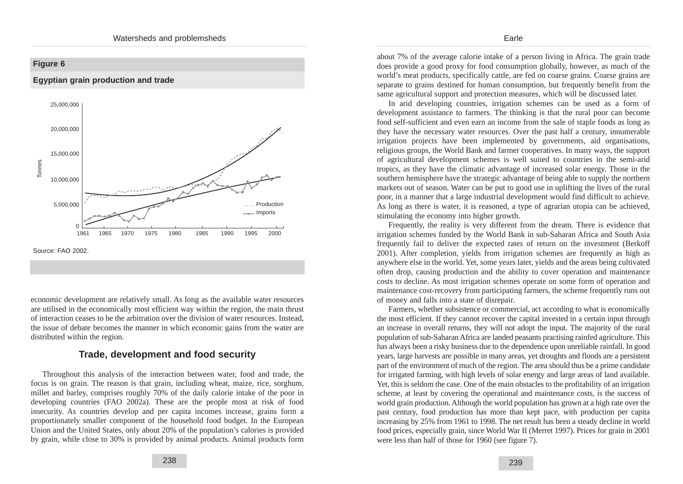

economic development are relatively small. As long as the available water resources are utilised in the economically most efficient way within the region, the main thrust of interaction ceases to be the arbitration over the division of water resources. Instead, the issue of debate becomes the manner in which economic gains from the water are distributed within the region.

## **Trade, development and food security**

Throughout this analysis of the interaction between water, food and trade, the focus is on grain. The reason is that grain, including wheat, maize, rice, sorghum, millet and barley, comprises roughly 70% of the daily calorie intake of the poor in developing countries (FAO 2002a). These are the people most at risk of food insecurity. As countries develop and per capita incomes increase, grains form a proportionately smaller component of the household food budget. In the European Union and the United States, only about 20% of the population's calories is provided by grain, while close to 30% is provided by animal products. Animal products form about 7% of the average calorie intake of a person living in Africa. The grain trade does provide a good proxy for food consumption globally, however, as much of the world's meat products, specifically cattle, are fed on coarse grains. Coarse grains are separate to grains destined for human consumption, but frequently benefit from the same agricultural support and protection measures, which will be discussed later.

In arid developing countries, irrigation schemes can be used as a form of development assistance to farmers. The thinking is that the rural poor can become food self-sufficient and even earn an income from the sale of staple foods as long as they have the necessary water resources. Over the past half a century, innumerable irrigation projects have been implemented by governments, aid organisations, religious groups, the World Bank and farmer cooperatives. In many ways, the support of agricultural development schemes is well suited to countries in the semi-arid tropics, as they have the climatic advantage of increased solar energy. Those in the southern hemisphere have the strategic advantage of being able to supply the northern markets out of season. Water can be put to good use in uplifting the lives of the rural poor, in a manner that a large industrial development would find difficult to achieve. As long as there is water, it is reasoned, a type of agrarian utopia can be achieved, stimulating the economy into higher growth.

Frequently, the reality is very different from the dream. There is evidence that irrigation schemes funded by the World Bank in sub-Saharan Africa and South Asia frequently fail to deliver the expected rates of return on the investment (Berkoff 2001). After completion, yields from irrigation schemes are frequently as high as anywhere else in the world. Yet, some years later, yields and the areas being cultivated often drop, causing production and the ability to cover operation and maintenance costs to decline. As most irrigation schemes operate on some form of operation and maintenance cost-recovery from participating farmers, the scheme frequently runs out of money and falls into a state of disrepair.

Farmers, whether subsistence or commercial, act according to what is economically the most efficient. If they cannot recover the capital invested in a certain input through an increase in overall returns, they will not adopt the input. The majority of the rural population of sub-Saharan Africa are landed peasants practising rainfed agriculture. This has always been a risky business due to the dependence upon unreliable rainfall. In good years, large harvests are possible in many areas, yet droughts and floods are a persistent part of the environment of much of the region. The area should thus be a prime candidate for irrigated farming, with high levels of solar energy and large areas of land available. Yet, this is seldom the case. One of the main obstacles to the profitability of an irrigation scheme, at least by covering the operational and maintenance costs, is the success of world grain production. Although the world population has grown at a high rate over the past century, food production has more than kept pace, with production per capita increasing by 25% from 1961 to 1998. The net result has been a steady decline in world food prices, especially grain, since World War II (Merret 1997). Prices for grain in 2001 were less than half of those for 1960 (see figure 7).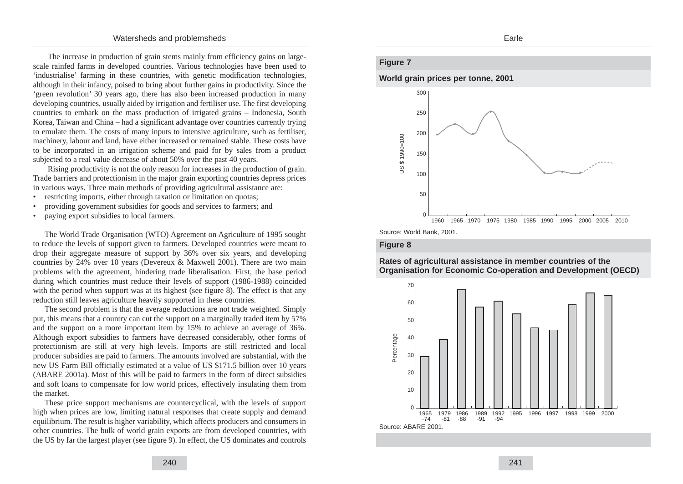The increase in production of grain stems mainly from efficiency gains on largescale rainfed farms in developed countries. Various technologies have been used to 'industrialise' farming in these countries, with genetic modification technologies, although in their infancy, poised to bring about further gains in productivity. Since the 'green revolution' 30 years ago, there has also been increased production in many developing countries, usually aided by irrigation and fertiliser use. The first developing countries to embark on the mass production of irrigated grains – Indonesia, South Korea, Taiwan and China – had a significant advantage over countries currently trying to emulate them. The costs of many inputs to intensive agriculture, such as fertiliser, machinery, labour and land, have either increased or remained stable. These costs have to be incorporated in an irrigation scheme and paid for by sales from a product subjected to a real value decrease of about 50% over the past 40 years.

Rising productivity is not the only reason for increases in the production of grain. Trade barriers and protectionism in the major grain exporting countries depress prices in various ways. Three main methods of providing agricultural assistance are:

- restricting imports, either through taxation or limitation on quotas;
- providing government subsidies for goods and services to farmers; and
- paying export subsidies to local farmers.

The World Trade Organisation (WTO) Agreement on Agriculture of 1995 sought to reduce the levels of support given to farmers. Developed countries were meant to drop their aggregate measure of support by 36% over six years, and developing countries by 24% over 10 years (Devereux & Maxwell 2001). There are two main problems with the agreement, hindering trade liberalisation. First, the base period during which countries must reduce their levels of support (1986-1988) coincided with the period when support was at its highest (see figure 8). The effect is that any reduction still leaves agriculture heavily supported in these countries.

The second problem is that the average reductions are not trade weighted. Simply put, this means that a country can cut the support on a marginally traded item by 57% and the support on a more important item by 15% to achieve an average of 36%. Although export subsidies to farmers have decreased considerably, other forms of protectionism are still at very high levels. Imports are still restricted and local producer subsidies are paid to farmers. The amounts involved are substantial, with the new US Farm Bill officially estimated at a value of US \$171.5 billion over 10 years (ABARE 2001a). Most of this will be paid to farmers in the form of direct subsidies and soft loans to compensate for low world prices, effectively insulating them from the market.

These price support mechanisms are countercyclical, with the levels of support high when prices are low, limiting natural responses that create supply and demand equilibrium. The result is higher variability, which affects producers and consumers in other countries. The bulk of world grain exports are from developed countries, with the US by far the largest player (see figure 9). In effect, the US dominates and controls

## Earle

## **Figure 7**

**World grain prices per tonne, 2001**





#### **Figure 8**



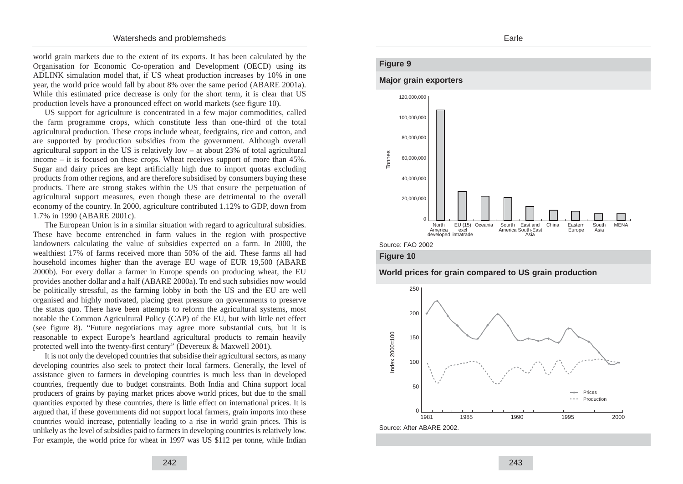world grain markets due to the extent of its exports. It has been calculated by the Organisation for Economic Co-operation and Development (OECD) using its ADLINK simulation model that, if US wheat production increases by 10% in one year, the world price would fall by about 8% over the same period (ABARE 2001a). While this estimated price decrease is only for the short term, it is clear that US production levels have a pronounced effect on world markets (see figure 10).

US support for agriculture is concentrated in a few major commodities, called the farm programme crops, which constitute less than one-third of the total agricultural production. These crops include wheat, feedgrains, rice and cotton, and are supported by production subsidies from the government. Although overall agricultural support in the US is relatively low  $-$  at about 23% of total agricultural income – it is focused on these crops. Wheat receives support of more than 45%. Sugar and dairy prices are kept artificially high due to import quotas excluding products from other regions, and are therefore subsidised by consumers buying these products. There are strong stakes within the US that ensure the perpetuation of agricultural support measures, even though these are detrimental to the overall economy of the country. In 2000, agriculture contributed 1.12% to GDP, down from 1.7% in 1990 (ABARE 2001c).

The European Union is in a similar situation with regard to agricultural subsidies. These have become entrenched in farm values in the region with prospective landowners calculating the value of subsidies expected on a farm. In 2000, the wealthiest 17% of farms received more than 50% of the aid. These farms all had household incomes higher than the average EU wage of EUR 19,500 (ABARE 2000b). For every dollar a farmer in Europe spends on producing wheat, the EU provides another dollar and a half (ABARE 2000a). To end such subsidies now would be politically stressful, as the farming lobby in both the US and the EU are well organised and highly motivated, placing great pressure on governments to preserve the status quo. There have been attempts to reform the agricultural systems, most notable the Common Agricultural Policy (CAP) of the EU, but with little net effect (see figure 8). "Future negotiations may agree more substantial cuts, but it is reasonable to expect Europe's heartland agricultural products to remain heavily protected well into the twenty-first century" (Devereux & Maxwell 2001).

It is not only the developed countries that subsidise their agricultural sectors, as many developing countries also seek to protect their local farmers. Generally, the level of assistance given to farmers in developing countries is much less than in developed countries, frequently due to budget constraints. Both India and China support local producers of grains by paying market prices above world prices, but due to the small quantities exported by these countries, there is little effect on international prices. It is argued that, if these governments did not support local farmers, grain imports into these countries would increase, potentially leading to a rise in world grain prices. This is unlikely as the level of subsidies paid to farmers in developing countries is relatively low. For example, the world price for wheat in 1997 was US \$112 per tonne, while Indian

#### Earle

## **Figure 9**

#### **Major grain exporters**



Source: FAO 2002





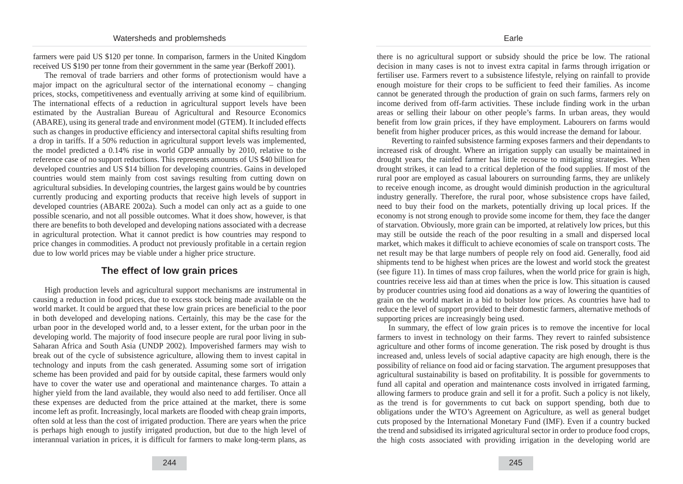farmers were paid US \$120 per tonne. In comparison, farmers in the United Kingdom received US \$190 per tonne from their government in the same year (Berkoff 2001).

The removal of trade barriers and other forms of protectionism would have a major impact on the agricultural sector of the international economy – changing prices, stocks, competitiveness and eventually arriving at some kind of equilibrium. The international effects of a reduction in agricultural support levels have been estimated by the Australian Bureau of Agricultural and Resource Economics (ABARE), using its general trade and environment model (GTEM). It included effects such as changes in productive efficiency and intersectoral capital shifts resulting from a drop in tariffs. If a 50% reduction in agricultural support levels was implemented, the model predicted a 0.14% rise in world GDP annually by 2010, relative to the reference case of no support reductions. This represents amounts of US \$40 billion for developed countries and US \$14 billion for developing countries. Gains in developed countries would stem mainly from cost savings resulting from cutting down on agricultural subsidies. In developing countries, the largest gains would be by countries currently producing and exporting products that receive high levels of support in developed countries (ABARE 2002a). Such a model can only act as a guide to one possible scenario, and not all possible outcomes. What it does show, however, is that there are benefits to both developed and developing nations associated with a decrease in agricultural protection. What it cannot predict is how countries may respond to price changes in commodities. A product not previously profitable in a certain region due to low world prices may be viable under a higher price structure.

## **The effect of low grain prices**

High production levels and agricultural support mechanisms are instrumental in causing a reduction in food prices, due to excess stock being made available on the world market. It could be argued that these low grain prices are beneficial to the poor in both developed and developing nations. Certainly, this may be the case for the urban poor in the developed world and, to a lesser extent, for the urban poor in the developing world. The majority of food insecure people are rural poor living in sub-Saharan Africa and South Asia (UNDP 2002). Impoverished farmers may wish to break out of the cycle of subsistence agriculture, allowing them to invest capital in technology and inputs from the cash generated. Assuming some sort of irrigation scheme has been provided and paid for by outside capital, these farmers would only have to cover the water use and operational and maintenance charges. To attain a higher yield from the land available, they would also need to add fertiliser. Once all these expenses are deducted from the price attained at the market, there is some income left as profit. Increasingly, local markets are flooded with cheap grain imports, often sold at less than the cost of irrigated production. There are years when the price is perhaps high enough to justify irrigated production, but due to the high level of interannual variation in prices, it is difficult for farmers to make long-term plans, as

there is no agricultural support or subsidy should the price be low. The rational decision in many cases is not to invest extra capital in farms through irrigation or fertiliser use. Farmers revert to a subsistence lifestyle, relying on rainfall to provide enough moisture for their crops to be sufficient to feed their families. As income cannot be generated through the production of grain on such farms, farmers rely on income derived from off-farm activities. These include finding work in the urban areas or selling their labour on other people's farms. In urban areas, they would benefit from low grain prices, if they have employment. Labourers on farms would benefit from higher producer prices, as this would increase the demand for labour.

Reverting to rainfed subsistence farming exposes farmers and their dependants to increased risk of drought. Where an irrigation supply can usually be maintained in drought years, the rainfed farmer has little recourse to mitigating strategies. When drought strikes, it can lead to a critical depletion of the food supplies. If most of the rural poor are employed as casual labourers on surrounding farms, they are unlikely to receive enough income, as drought would diminish production in the agricultural industry generally. Therefore, the rural poor, whose subsistence crops have failed, need to buy their food on the markets, potentially driving up local prices. If the economy is not strong enough to provide some income for them, they face the danger of starvation. Obviously, more grain can be imported, at relatively low prices, but this may still be outside the reach of the poor resulting in a small and dispersed local market, which makes it difficult to achieve economies of scale on transport costs. The net result may be that large numbers of people rely on food aid. Generally, food aid shipments tend to be highest when prices are the lowest and world stock the greatest (see figure 11). In times of mass crop failures, when the world price for grain is high, countries receive less aid than at times when the price is low. This situation is caused by producer countries using food aid donations as a way of lowering the quantities of grain on the world market in a bid to bolster low prices. As countries have had to reduce the level of support provided to their domestic farmers, alternative methods of supporting prices are increasingly being used.

In summary, the effect of low grain prices is to remove the incentive for local farmers to invest in technology on their farms. They revert to rainfed subsistence agriculture and other forms of income generation. The risk posed by drought is thus increased and, unless levels of social adaptive capacity are high enough, there is the possibility of reliance on food aid or facing starvation. The argument presupposes that agricultural sustainability is based on profitability. It is possible for governments to fund all capital and operation and maintenance costs involved in irrigated farming, allowing farmers to produce grain and sell it for a profit. Such a policy is not likely, as the trend is for governments to cut back on support spending, both due to obligations under the WTO's Agreement on Agriculture, as well as general budget cuts proposed by the International Monetary Fund (IMF). Even if a country bucked the trend and subsidised its irrigated agricultural sector in order to produce food crops, the high costs associated with providing irrigation in the developing world are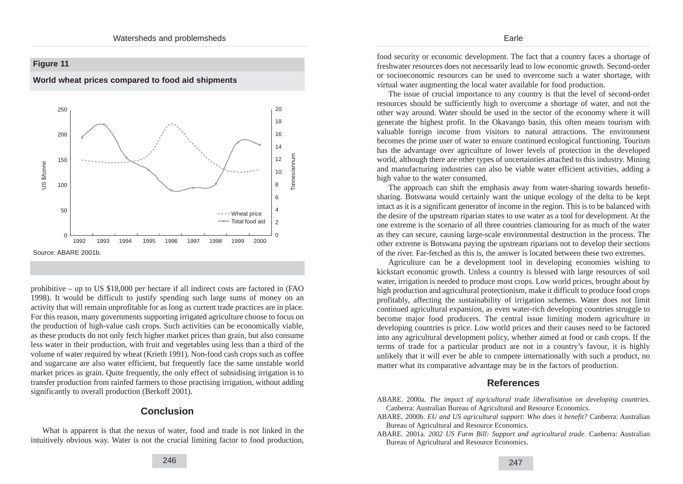## **Figure 11**





prohibitive – up to US \$18,000 per hectare if all indirect costs are factored in (FAO 1998). It would be difficult to justify spending such large sums of money on an activity that will remain unprofitable for as long as current trade practices are in place. For this reason, many governments supporting irrigated agriculture choose to focus on the production of high-value cash crops. Such activities can be economically viable, as these products do not only fetch higher market prices than grain, but also consume less water in their production, with fruit and vegetables using less than a third of the volume of water required by wheat (Krieth 1991). Non-food cash crops such as coffee and sugarcane are also water efficient, but frequently face the same unstable world market prices as grain. Quite frequently, the only effect of subsidising irrigation is to transfer production from rainfed farmers to those practising irrigation, without adding significantly to overall production (Berkoff 2001).

## **Conclusion**

What is apparent is that the nexus of water, food and trade is not linked in the intuitively obvious way. Water is not the crucial limiting factor to food production,

food security or economic development. The fact that a country faces a shortage of freshwater resources does not necessarily lead to low economic growth. Second-order or socioeconomic resources can be used to overcome such a water shortage, with virtual water augmenting the local water available for food production.

Earle

The issue of crucial importance to any country is that the level of second-order resources should be sufficiently high to overcome a shortage of water, and not the other way around. Water should be used in the sector of the economy where it will generate the highest profit. In the Okavango basin, this often means tourism with valuable foreign income from visitors to natural attractions. The environment becomes the prime user of water to ensure continued ecological functioning. Tourism has the advantage over agriculture of lower levels of protection in the developed world, although there are other types of uncertainties attached to this industry. Mining and manufacturing industries can also be viable water efficient activities, adding a high value to the water consumed.

The approach can shift the emphasis away from water-sharing towards benefitsharing. Botswana would certainly want the unique ecology of the delta to be kept intact as it is a significant generator of income in the region. This is to be balanced with the desire of the upstream riparian states to use water as a tool for development. At the one extreme is the scenario of all three countries clamouring for as much of the water as they can secure, causing large-scale environmental destruction in the process. The other extreme is Botswana paying the upstream riparians not to develop their sections of the river. Far-fetched as this is, the answer is located between these two extremes.

Agriculture can be a development tool in developing economies wishing to kickstart economic growth. Unless a country is blessed with large resources of soil water, irrigation is needed to produce most crops. Low world prices, brought about by high production and agricultural protectionism, make it difficult to produce food crops profitably, affecting the sustainability of irrigation schemes. Water does not limit continued agricultural expansion, as even water-rich developing countries struggle to become major food producers. The central issue limiting modern agriculture in developing countries is price. Low world prices and their causes need to be factored into any agricultural development policy, whether aimed at food or cash crops. If the terms of trade for a particular product are not in a country's favour, it is highly unlikely that it will ever be able to compete internationally with such a product, no matter what its comparative advantage may be in the factors of production.

## **References**

- ABARE. 2000a. *The impact of agricultural trade liberalisation on developing countries*. Canberra: Australian Bureau of Agricultural and Resource Economics.
- ABARE. 2000b. *EU and US agricultural support: Who does it benefit?* Canberra: Australian Bureau of Agricultural and Resource Economics.
- ABARE. 2001a. *2002 US Farm Bill: Support and agricultural trade*. Canberra: Australian Bureau of Agricultural and Resource Economics.